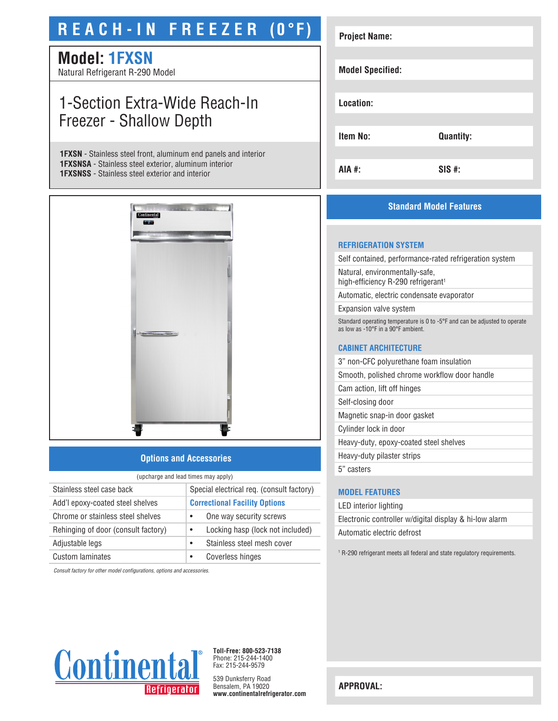# **R E A C H - I N F R E E Z E R (0°F)**

## **Model: 1FXSN**

Natural Refrigerant R-290 Model

## 1-Section Extra-Wide Reach-In Freezer - Shallow Depth

**1FXSN** - Stainless steel front, aluminum end panels and interior **1FXSNSA** - Stainless steel exterior, aluminum interior **1FXSNSS** - Stainless steel exterior and interior



### **Options and Accessories**

| (upcharge and lead times may apply) |                                               |  |
|-------------------------------------|-----------------------------------------------|--|
| Stainless steel case back           | Special electrical req. (consult factory)     |  |
| Add'l epoxy-coated steel shelves    | <b>Correctional Facility Options</b>          |  |
| Chrome or stainless steel shelves   | One way security screws<br>$\bullet$          |  |
| Rehinging of door (consult factory) | Locking hasp (lock not included)<br>$\bullet$ |  |
| Adjustable legs                     | Stainless steel mesh cover<br>$\bullet$       |  |
| Custom laminates                    | Coverless hinges                              |  |

*Consult factory for other model configurations, options and accessories.*

| <b>Project Name:</b>    |                  |
|-------------------------|------------------|
|                         |                  |
| <b>Model Specified:</b> |                  |
|                         |                  |
| Location:               |                  |
|                         |                  |
| <b>Item No:</b>         | <b>Quantity:</b> |
|                         |                  |
| AIA #:                  | $SIS$ #:         |

### **Standard Model Features**

#### **REFRIGERATION SYSTEM**

Self contained, performance-rated refrigeration system

Natural, environmentally-safe, high-efficiency R-290 refrigerant<sup>1</sup>

Automatic, electric condensate evaporator

Expansion valve system

Standard operating temperature is 0 to -5°F and can be adjusted to operate as low as -10°F in a 90°F ambient.

#### **CABINET ARCHITECTURE**

3" non-CFC polyurethane foam insulation

Smooth, polished chrome workflow door handle

Cam action, lift off hinges Self-closing door

Magnetic snap-in door gasket

Cylinder lock in door

Heavy-duty, epoxy-coated steel shelves

Heavy-duty pilaster strips

5" casters

#### **MODEL FEATURES**

LED interior lighting Electronic controller w/digital display & hi-low alarm Automatic electric defrost

<sup>1</sup> R-290 refrigerant meets all federal and state regulatory requirements.



**Toll-Free: 800-523-7138** Phone: 215-244-1400 Fax: 215-244-9579

539 Dunksferry Road Bensalem, PA 19020 **www.continentalrefrigerator.com** 

**APPROVAL:**